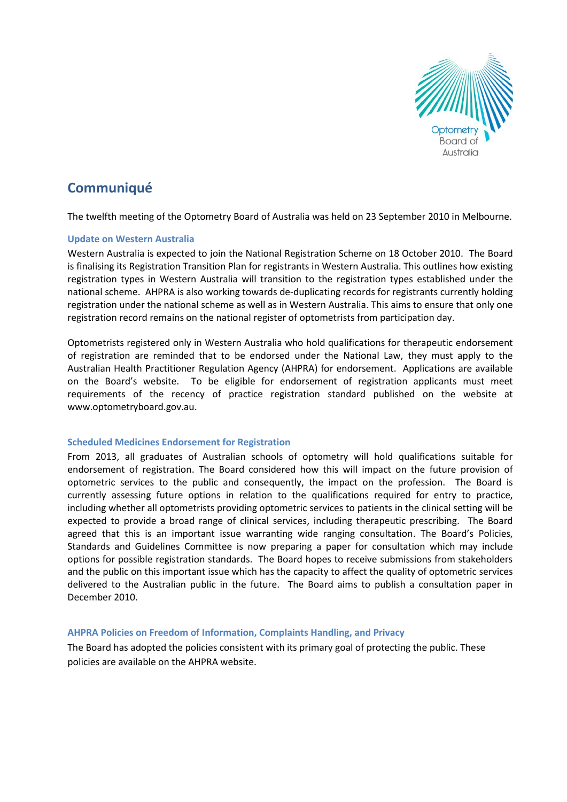

# **Communiqué**

The twelfth meeting of the Optometry Board of Australia was held on 23 September 2010 in Melbourne.

## **Update on Western Australia**

Western Australia is expected to join the National Registration Scheme on 18 October 2010. The Board is finalising its Registration Transition Plan for registrants in Western Australia. This outlines how existing registration types in Western Australia will transition to the registration types established under the national scheme. AHPRA is also working towards de-duplicating records for registrants currently holding registration under the national scheme as well as in Western Australia. This aims to ensure that only one registration record remains on the national register of optometrists from participation day.

Optometrists registered only in Western Australia who hold qualifications for therapeutic endorsement of registration are reminded that to be endorsed under the National Law, they must apply to the Australian Health Practitioner Regulation Agency (AHPRA) for endorsement. Applications are available on the Board's website. To be eligible for endorsement of registration applicants must meet requirements of the recency of practice registration standard published on the website at www.optometryboard.gov.au.

## **Scheduled Medicines Endorsement for Registration**

From 2013, all graduates of Australian schools of optometry will hold qualifications suitable for endorsement of registration. The Board considered how this will impact on the future provision of optometric services to the public and consequently, the impact on the profession. The Board is currently assessing future options in relation to the qualifications required for entry to practice, including whether all optometrists providing optometric services to patients in the clinical setting will be expected to provide a broad range of clinical services, including therapeutic prescribing. The Board agreed that this is an important issue warranting wide ranging consultation. The Board's Policies, Standards and Guidelines Committee is now preparing a paper for consultation which may include options for possible registration standards. The Board hopes to receive submissions from stakeholders and the public on this important issue which has the capacity to affect the quality of optometric services delivered to the Australian public in the future. The Board aims to publish a consultation paper in December 2010.

## **AHPRA Policies on Freedom of Information, Complaints Handling, and Privacy**

The Board has adopted the policies consistent with its primary goal of protecting the public. These policies are available on the AHPRA website.